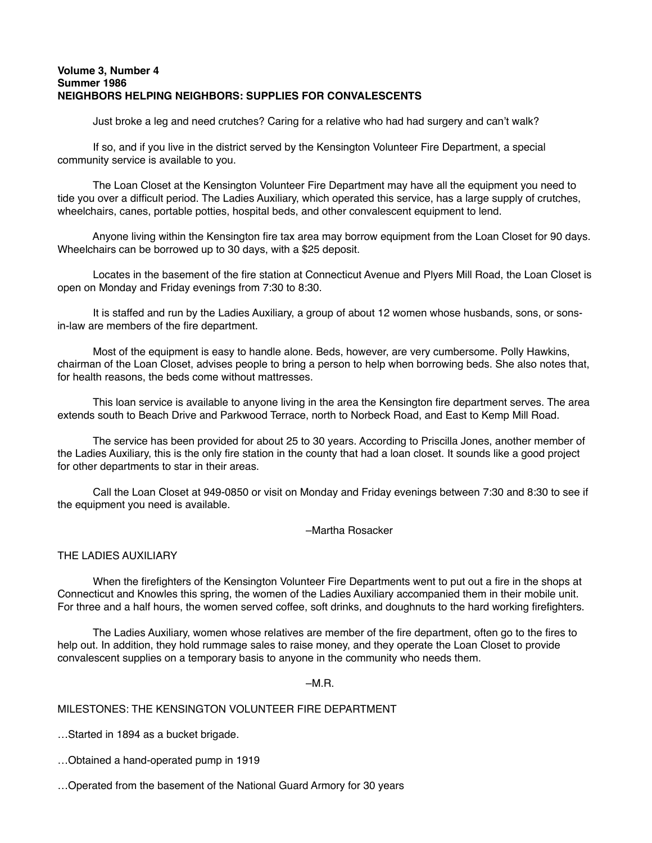## **Volume 3, Number 4 Summer 1986 NEIGHBORS HELPING NEIGHBORS: SUPPLIES FOR CONVALESCENTS**

Just broke a leg and need crutches? Caring for a relative who had had surgery and can't walk?

 If so, and if you live in the district served by the Kensington Volunteer Fire Department, a special community service is available to you.

 The Loan Closet at the Kensington Volunteer Fire Department may have all the equipment you need to tide you over a difficult period. The Ladies Auxiliary, which operated this service, has a large supply of crutches, wheelchairs, canes, portable potties, hospital beds, and other convalescent equipment to lend.

 Anyone living within the Kensington fire tax area may borrow equipment from the Loan Closet for 90 days. Wheelchairs can be borrowed up to 30 days, with a \$25 deposit.

Locates in the basement of the fire station at Connecticut Avenue and Plyers Mill Road, the Loan Closet is open on Monday and Friday evenings from 7:30 to 8:30.

 It is staffed and run by the Ladies Auxiliary, a group of about 12 women whose husbands, sons, or sonsin-law are members of the fire department.

 Most of the equipment is easy to handle alone. Beds, however, are very cumbersome. Polly Hawkins, chairman of the Loan Closet, advises people to bring a person to help when borrowing beds. She also notes that, for health reasons, the beds come without mattresses.

 This loan service is available to anyone living in the area the Kensington fire department serves. The area extends south to Beach Drive and Parkwood Terrace, north to Norbeck Road, and East to Kemp Mill Road.

 The service has been provided for about 25 to 30 years. According to Priscilla Jones, another member of the Ladies Auxiliary, this is the only fire station in the county that had a loan closet. It sounds like a good project for other departments to star in their areas.

 Call the Loan Closet at 949-0850 or visit on Monday and Friday evenings between 7:30 and 8:30 to see if the equipment you need is available.

–Martha Rosacker

## THE LADIES AUXILIARY

 When the firefighters of the Kensington Volunteer Fire Departments went to put out a fire in the shops at Connecticut and Knowles this spring, the women of the Ladies Auxiliary accompanied them in their mobile unit. For three and a half hours, the women served coffee, soft drinks, and doughnuts to the hard working firefighters.

 The Ladies Auxiliary, women whose relatives are member of the fire department, often go to the fires to help out. In addition, they hold rummage sales to raise money, and they operate the Loan Closet to provide convalescent supplies on a temporary basis to anyone in the community who needs them.

## $-M.R.$

## MILESTONES: THE KENSINGTON VOLUNTEER FIRE DEPARTMENT

…Started in 1894 as a bucket brigade.

…Obtained a hand-operated pump in 1919

…Operated from the basement of the National Guard Armory for 30 years